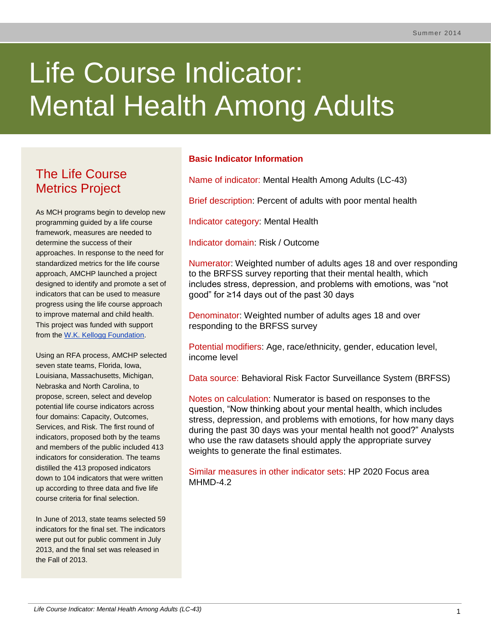# Life Course Indicator: Mental Health Among Adults

# The Life Course Metrics Project

As MCH programs begin to develop new programming guided by a life course framework, measures are needed to determine the success of their approaches. In response to the need for standardized metrics for the life course approach, AMCHP launched a project designed to identify and promote a set of indicators that can be used to measure progress using the life course approach to improve maternal and child health. This project was funded with support from the [W.K. Kellogg Foundation.](http://www.wkkf.org/)

Using an RFA process, AMCHP selected seven state teams, Florida, Iowa, Louisiana, Massachusetts, Michigan, Nebraska and North Carolina, to propose, screen, select and develop potential life course indicators across four domains: Capacity, Outcomes, Services, and Risk. The first round of indicators, proposed both by the teams and members of the public included 413 indicators for consideration. The teams distilled the 413 proposed indicators down to 104 indicators that were written up according to three data and five life course criteria for final selection.

In June of 2013, state teams selected 59 indicators for the final set. The indicators were put out for public comment in July 2013, and the final set was released in the Fall of 2013.

# **Basic Indicator Information**

Name of indicator: Mental Health Among Adults (LC-43)

Brief description: Percent of adults with poor mental health

Indicator category: Mental Health

Indicator domain: Risk / Outcome

Numerator: Weighted number of adults ages 18 and over responding to the BRFSS survey reporting that their mental health, which includes stress, depression, and problems with emotions, was "not good" for ≥14 days out of the past 30 days

Denominator: Weighted number of adults ages 18 and over responding to the BRFSS survey

Potential modifiers: Age, race/ethnicity, gender, education level, income level

Data source: Behavioral Risk Factor Surveillance System (BRFSS)

Notes on calculation: Numerator is based on responses to the question, "Now thinking about your mental health, which includes stress, depression, and problems with emotions, for how many days during the past 30 days was your mental health not good?" Analysts who use the raw datasets should apply the appropriate survey weights to generate the final estimates.

Similar measures in other indicator sets: HP 2020 Focus area MHMD-4.2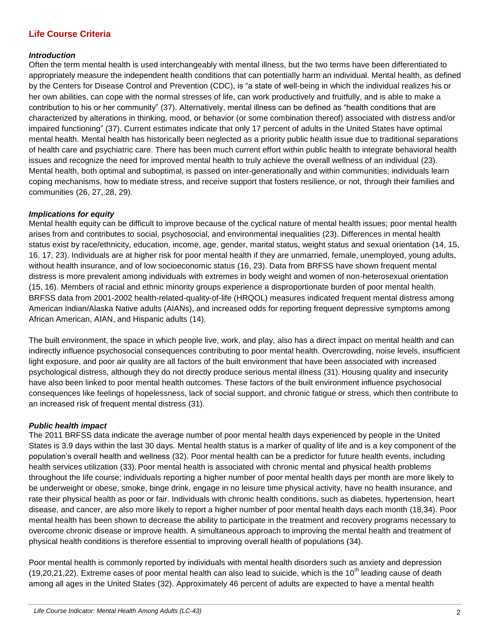# **Life Course Criteria**

#### *Introduction*

Often the term mental health is used interchangeably with mental illness, but the two terms have been differentiated to appropriately measure the independent health conditions that can potentially harm an individual. Mental health, as defined by the Centers for Disease Control and Prevention (CDC), is "a state of well-being in which the individual realizes his or her own abilities, can cope with the normal stresses of life, can work productively and fruitfully, and is able to make a contribution to his or her community" (37). Alternatively, mental illness can be defined as "health conditions that are characterized by alterations in thinking, mood, or behavior (or some combination thereof) associated with distress and/or impaired functioning" (37). Current estimates indicate that only 17 percent of adults in the United States have optimal mental health. Mental health has historically been neglected as a priority public health issue due to traditional separations of health care and psychiatric care. There has been much current effort within public health to integrate behavioral health issues and recognize the need for improved mental health to truly achieve the overall wellness of an individual (23). Mental health, both optimal and suboptimal, is passed on inter-generationally and within communities; individuals learn coping mechanisms, how to mediate stress, and receive support that fosters resilience, or not, through their families and communities (26, 27, 28, 29).

#### *Implications for equity*

Mental health equity can be difficult to improve because of the cyclical nature of mental health issues; poor mental health arises from and contributes to social, psychosocial, and environmental inequalities (23). Differences in mental health status exist by race/ethnicity, education, income, age, gender, marital status, weight status and sexual orientation (14, 15, 16, 17, 23). Individuals are at higher risk for poor mental health if they are unmarried, female, unemployed, young adults, without health insurance, and of low socioeconomic status (16, 23). Data from BRFSS have shown frequent mental distress is more prevalent among individuals with extremes in body weight and women of non-heterosexual orientation (15, 16). Members of racial and ethnic minority groups experience a disproportionate burden of poor mental health. BRFSS data from 2001-2002 health-related-quality-of-life (HRQOL) measures indicated frequent mental distress among American Indian/Alaska Native adults (AIANs), and increased odds for reporting frequent depressive symptoms among African American, AIAN, and Hispanic adults (14).

The built environment, the space in which people live, work, and play, also has a direct impact on mental health and can indirectly influence psychosocial consequences contributing to poor mental health. Overcrowding, noise levels, insufficient light exposure, and poor air quality are all factors of the built environment that have been associated with increased psychological distress, although they do not directly produce serious mental illness (31). Housing quality and insecurity have also been linked to poor mental health outcomes. These factors of the built environment influence psychosocial consequences like feelings of hopelessness, lack of social support, and chronic fatigue or stress, which then contribute to an increased risk of frequent mental distress (31).

#### *Public health impact*

The 2011 BRFSS data indicate the average number of poor mental health days experienced by people in the United States is 3.9 days within the last 30 days. Mental health status is a marker of quality of life and is a key component of the population's overall health and wellness (32). Poor mental health can be a predictor for future health events, including health services utilization (33). Poor mental health is associated with chronic mental and physical health problems throughout the life course; individuals reporting a higher number of poor mental health days per month are more likely to be underweight or obese, smoke, binge drink, engage in no leisure time physical activity, have no health insurance, and rate their physical health as poor or fair. Individuals with chronic health conditions, such as diabetes, hypertension, heart disease, and cancer, are also more likely to report a higher number of poor mental health days each month (18,34). Poor mental health has been shown to decrease the ability to participate in the treatment and recovery programs necessary to overcome chronic disease or improve health. A simultaneous approach to improving the mental health and treatment of physical health conditions is therefore essential to improving overall health of populations (34).

Poor mental health is commonly reported by individuals with mental health disorders such as anxiety and depression (19,20,21,22). Extreme cases of poor mental health can also lead to suicide, which is the 10<sup>th</sup> leading cause of death among all ages in the United States (32). Approximately 46 percent of adults are expected to have a mental health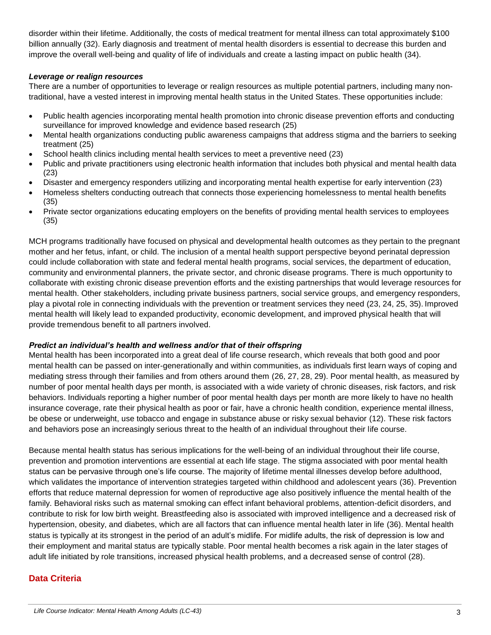disorder within their lifetime. Additionally, the costs of medical treatment for mental illness can total approximately \$100 billion annually (32). Early diagnosis and treatment of mental health disorders is essential to decrease this burden and improve the overall well-being and quality of life of individuals and create a lasting impact on public health (34).

#### *Leverage or realign resources*

There are a number of opportunities to leverage or realign resources as multiple potential partners, including many nontraditional, have a vested interest in improving mental health status in the United States. These opportunities include:

- Public health agencies incorporating mental health promotion into chronic disease prevention efforts and conducting surveillance for improved knowledge and evidence based research (25)
- Mental health organizations conducting public awareness campaigns that address stigma and the barriers to seeking treatment (25)
- School health clinics including mental health services to meet a preventive need (23)
- Public and private practitioners using electronic health information that includes both physical and mental health data (23)
- Disaster and emergency responders utilizing and incorporating mental health expertise for early intervention (23)
- Homeless shelters conducting outreach that connects those experiencing homelessness to mental health benefits (35)
- Private sector organizations educating employers on the benefits of providing mental health services to employees (35)

MCH programs traditionally have focused on physical and developmental health outcomes as they pertain to the pregnant mother and her fetus, infant, or child. The inclusion of a mental health support perspective beyond perinatal depression could include collaboration with state and federal mental health programs, social services, the department of education, community and environmental planners, the private sector, and chronic disease programs. There is much opportunity to collaborate with existing chronic disease prevention efforts and the existing partnerships that would leverage resources for mental health. Other stakeholders, including private business partners, social service groups, and emergency responders, play a pivotal role in connecting individuals with the prevention or treatment services they need (23, 24, 25, 35). Improved mental health will likely lead to expanded productivity, economic development, and improved physical health that will provide tremendous benefit to all partners involved.

#### *Predict an individual's health and wellness and/or that of their offspring*

Mental health has been incorporated into a great deal of life course research, which reveals that both good and poor mental health can be passed on inter-generationally and within communities, as individuals first learn ways of coping and mediating stress through their families and from others around them (26, 27, 28, 29). Poor mental health, as measured by number of poor mental health days per month, is associated with a wide variety of chronic diseases, risk factors, and risk behaviors. Individuals reporting a higher number of poor mental health days per month are more likely to have no health insurance coverage, rate their physical health as poor or fair, have a chronic health condition, experience mental illness, be obese or underweight, use tobacco and engage in substance abuse or risky sexual behavior (12). These risk factors and behaviors pose an increasingly serious threat to the health of an individual throughout their life course.

Because mental health status has serious implications for the well-being of an individual throughout their life course, prevention and promotion interventions are essential at each life stage. The stigma associated with poor mental health status can be pervasive through one's life course. The majority of lifetime mental illnesses develop before adulthood, which validates the importance of intervention strategies targeted within childhood and adolescent years (36). Prevention efforts that reduce maternal depression for women of reproductive age also positively influence the mental health of the family. Behavioral risks such as maternal smoking can effect infant behavioral problems, attention-deficit disorders, and contribute to risk for low birth weight. Breastfeeding also is associated with improved intelligence and a decreased risk of hypertension, obesity, and diabetes, which are all factors that can influence mental health later in life (36). Mental health status is typically at its strongest in the period of an adult's midlife. For midlife adults, the risk of depression is low and their employment and marital status are typically stable. Poor mental health becomes a risk again in the later stages of adult life initiated by role transitions, increased physical health problems, and a decreased sense of control (28).

# **Data Criteria**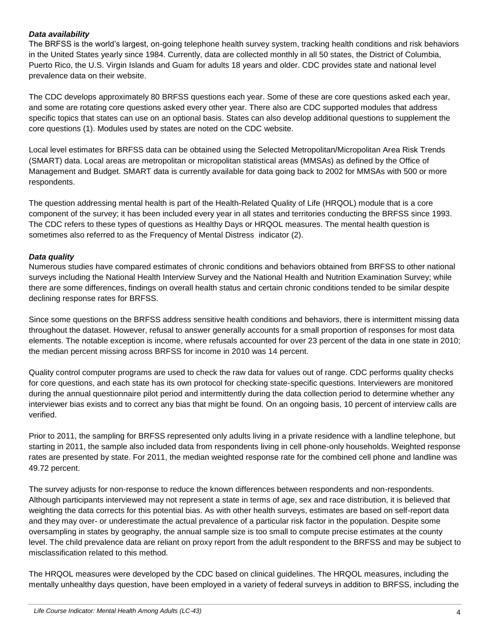# *Data availability*

The BRFSS is the world's largest, on-going telephone health survey system, tracking health conditions and risk behaviors in the United States yearly since 1984. Currently, data are collected monthly in all 50 states, the District of Columbia, Puerto Rico, the U.S. Virgin Islands and Guam for adults 18 years and older. CDC provides state and national level prevalence data on their website.

The CDC develops approximately 80 BRFSS questions each year. Some of these are core questions asked each year, and some are rotating core questions asked every other year. There also are CDC supported modules that address specific topics that states can use on an optional basis. States can also develop additional questions to supplement the core questions (1). Modules used by states are noted on the CDC website.

Local level estimates for BRFSS data can be obtained using the Selected Metropolitan/Micropolitan Area Risk Trends (SMART) data. Local areas are metropolitan or micropolitan statistical areas (MMSAs) as defined by the Office of Management and Budget. SMART data is currently available for data going back to 2002 for MMSAs with 500 or more respondents.

The question addressing mental health is part of the Health-Related Quality of Life (HRQOL) module that is a core component of the survey; it has been included every year in all states and territories conducting the BRFSS since 1993. The CDC refers to these types of questions as Healthy Days or HRQOL measures. The mental health question is sometimes also referred to as the Frequency of Mental Distress indicator (2).

# *Data quality*

Numerous studies have compared estimates of chronic conditions and behaviors obtained from BRFSS to other national surveys including the National Health Interview Survey and the National Health and Nutrition Examination Survey; while there are some differences, findings on overall health status and certain chronic conditions tended to be similar despite declining response rates for BRFSS.

Since some questions on the BRFSS address sensitive health conditions and behaviors, there is intermittent missing data throughout the dataset. However, refusal to answer generally accounts for a small proportion of responses for most data elements. The notable exception is income, where refusals accounted for over 23 percent of the data in one state in 2010; the median percent missing across BRFSS for income in 2010 was 14 percent.

Quality control computer programs are used to check the raw data for values out of range. CDC performs quality checks for core questions, and each state has its own protocol for checking state-specific questions. Interviewers are monitored during the annual questionnaire pilot period and intermittently during the data collection period to determine whether any interviewer bias exists and to correct any bias that might be found. On an ongoing basis, 10 percent of interview calls are verified.

Prior to 2011, the sampling for BRFSS represented only adults living in a private residence with a landline telephone, but starting in 2011, the sample also included data from respondents living in cell phone-only households. Weighted response rates are presented by state. For 2011, the median weighted response rate for the combined cell phone and landline was 49.72 percent.

The survey adjusts for non-response to reduce the known differences between respondents and non-respondents. Although participants interviewed may not represent a state in terms of age, sex and race distribution, it is believed that weighting the data corrects for this potential bias. As with other health surveys, estimates are based on self-report data and they may over- or underestimate the actual prevalence of a particular risk factor in the population. Despite some oversampling in states by geography, the annual sample size is too small to compute precise estimates at the county level. The child prevalence data are reliant on proxy report from the adult respondent to the BRFSS and may be subject to misclassification related to this method.

The HRQOL measures were developed by the CDC based on clinical guidelines. The HRQOL measures, including the mentally unhealthy days question, have been employed in a variety of federal surveys in addition to BRFSS, including the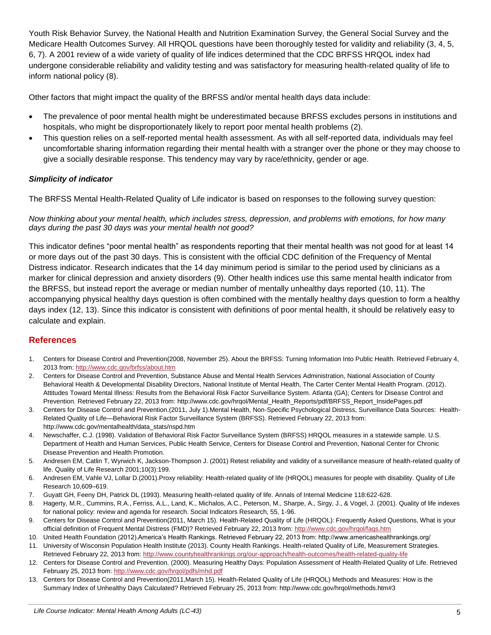Youth Risk Behavior Survey, the National Health and Nutrition Examination Survey, the General Social Survey and the Medicare Health Outcomes Survey. All HRQOL questions have been thoroughly tested for validity and reliability (3, 4, 5, 6, 7). A 2001 review of a wide variety of quality of life indices determined that the CDC BRFSS HRQOL index had undergone considerable reliability and validity testing and was satisfactory for measuring health-related quality of life to inform national policy (8).

Other factors that might impact the quality of the BRFSS and/or mental health days data include:

- The prevalence of poor mental health might be underestimated because BRFSS excludes persons in institutions and hospitals, who might be disproportionately likely to report poor mental health problems (2).
- This question relies on a self-reported mental health assessment. As with all self-reported data, individuals may feel uncomfortable sharing information regarding their mental health with a stranger over the phone or they may choose to give a socially desirable response. This tendency may vary by race/ethnicity, gender or age.

# *Simplicity of indicator*

The BRFSS Mental Health-Related Quality of Life indicator is based on responses to the following survey question:

*Now thinking about your mental health, which includes stress, depression, and problems with emotions, for how many days during the past 30 days was your mental health not good?*

This indicator defines "poor mental health" as respondents reporting that their mental health was not good for at least 14 or more days out of the past 30 days. This is consistent with the official CDC definition of the Frequency of Mental Distress indicator. Research indicates that the 14 day minimum period is similar to the period used by clinicians as a marker for clinical depression and anxiety disorders (9). Other health indices use this same mental health indicator from the BRFSS, but instead report the average or median number of mentally unhealthy days reported (10, 11). The accompanying physical healthy days question is often combined with the mentally healthy days question to form a healthy days index (12, 13). Since this indicator is consistent with definitions of poor mental health, it should be relatively easy to calculate and explain.

# **References**

- 1. Centers for Disease Control and Prevention(2008, November 25). About the BRFSS: Turning Information Into Public Health. Retrieved February 4, 2013 from[: http://www.cdc.gov/brfss/about.htm](http://www.cdc.gov/brfss/about.htm)
- 2. Centers for Disease Control and Prevention, Substance Abuse and Mental Health Services Administration, National Association of County Behavioral Health & Developmental Disability Directors, National Institute of Mental Health, The Carter Center Mental Health Program. (2012). Attitudes Toward Mental Illness: Results from the Behavioral Risk Factor Surveillance System. Atlanta (GA); Centers for Disease Control and Prevention. Retrieved February 22, 2013 from: http://www.cdc.gov/hrqol/Mental\_Health\_Reports/pdf/BRFSS\_Report\_InsidePages.pdf
- 3. Centers for Disease Control and Prevention.(2011, July 1).Mental Health, Non-Specific Psychological Distress, Surveillance Data Sources: Health-Related Quality of Life—Behavioral Risk Factor Surveillance System (BRFSS). Retrieved February 22, 2013 from: http://www.cdc.gov/mentalhealth/data\_stats/nspd.htm
- 4. Newschaffer, C.J. (1998). Validation of Behavioral Risk Factor Surveillance System (BRFSS) HRQOL measures in a statewide sample. U.S. Department of Health and Human Services, Public Health Service, Centers for Disease Control and Prevention, National Center for Chronic Disease Prevention and Health Promotion.
- 5. Andresen EM, Catlin T, Wyrwich K, Jackson-Thompson J. (2001) Retest reliability and validity of a surveillance measure of health-related quality of life. Quality of Life Research 2001;10(3):199.
- 6. Andresen EM, Vahle VJ, Lollar D.(2001).Proxy reliability: Health-related quality of life (HRQOL) measures for people with disability. Quality of Life Research 10,609–619.
- 7. Guyatt GH, Feeny DH, Patrick DL (1993). Measuring health-related quality of life. Annals of Internal Medicine 118:622-628.
- 8. Hagerty, M.R., Cummins, R.A., Ferriss, A.L., Land, K., Michalos, A.C., Peterson, M., Sharpe, A., Sirgy, J., & Vogel, J. (2001). Quality of life indexes for national policy: review and agenda for research. Social Indicators Research, 55, 1-96.
- 9. Centers for Disease Control and Prevention(2011, March 15). Health-Related Quality of Life (HRQOL): Frequently Asked Questions, What is your official definition of Frequent Mental Distress (FMD)? Retrieved February 22, 2013 from[: http://www.cdc.gov/hrqol/faqs.htm](http://www.cdc.gov/hrqol/faqs.htm)
- 10. United Health Foundation (2012).America's Health Rankings. Retrieved February 22, 2013 from: http://www.americashealthrankings.org/
- 11. University of Wisconsin Population Health Institute (2013). County Health Rankings. Health-related Quality of Life, Measurement Strategies. Retrieved February 22, 2013 from[: http://www.countyhealthrankings.org/our-approach/health-outcomes/health-related-quality-life](http://www.countyhealthrankings.org/our-approach/health-outcomes/health-related-quality-life)
- 12. Centers for Disease Control and Prevention. (2000). Measuring Healthy Days: Population Assessment of Health-Related Quality of Life. Retrieved February 25, 2013 from:<http://www.cdc.gov/hrqol/pdfs/mhd.pdf>
- 13. Centers for Disease Control and Prevention(2011,March 15). Health-Related Quality of Life (HRQOL) Methods and Measures: How is the Summary Index of Unhealthy Days Calculated? Retrieved February 25, 2013 from: http://www.cdc.gov/hrqol/methods.htm#3